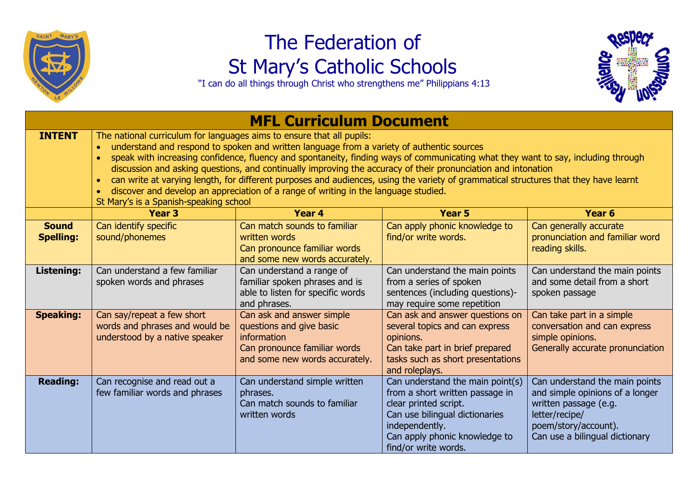

## The Federation of St Mary's Catholic Schools

"I can do all things through Christ who strengthens me" Philippians 4:13



| <b>MFL Curriculum Document</b>   |                                                                                                                                                                                                                                                                                                                                                                                                                                                                                                                                                                                                                                                                                                                                          |                                                                                                                                        |                                                                                                                                                                                                           |                                                                                                                                                                        |  |  |  |
|----------------------------------|------------------------------------------------------------------------------------------------------------------------------------------------------------------------------------------------------------------------------------------------------------------------------------------------------------------------------------------------------------------------------------------------------------------------------------------------------------------------------------------------------------------------------------------------------------------------------------------------------------------------------------------------------------------------------------------------------------------------------------------|----------------------------------------------------------------------------------------------------------------------------------------|-----------------------------------------------------------------------------------------------------------------------------------------------------------------------------------------------------------|------------------------------------------------------------------------------------------------------------------------------------------------------------------------|--|--|--|
| <b>INTENT</b>                    | The national curriculum for languages aims to ensure that all pupils:<br>understand and respond to spoken and written language from a variety of authentic sources<br>$\bullet$<br>speak with increasing confidence, fluency and spontaneity, finding ways of communicating what they want to say, including through<br>discussion and asking questions, and continually improving the accuracy of their pronunciation and intonation<br>can write at varying length, for different purposes and audiences, using the variety of grammatical structures that they have learnt<br>$\bullet$<br>discover and develop an appreciation of a range of writing in the language studied.<br>$\bullet$<br>St Mary's is a Spanish-speaking school |                                                                                                                                        |                                                                                                                                                                                                           |                                                                                                                                                                        |  |  |  |
|                                  | <b>Year 3</b>                                                                                                                                                                                                                                                                                                                                                                                                                                                                                                                                                                                                                                                                                                                            | Year 4                                                                                                                                 | Year <sub>5</sub>                                                                                                                                                                                         | Year 6                                                                                                                                                                 |  |  |  |
| <b>Sound</b><br><b>Spelling:</b> | Can identify specific<br>sound/phonemes                                                                                                                                                                                                                                                                                                                                                                                                                                                                                                                                                                                                                                                                                                  | Can match sounds to familiar<br>written words<br>Can pronounce familiar words<br>and some new words accurately.                        | Can apply phonic knowledge to<br>find/or write words.                                                                                                                                                     | Can generally accurate<br>pronunciation and familiar word<br>reading skills.                                                                                           |  |  |  |
| Listening:                       | Can understand a few familiar<br>spoken words and phrases                                                                                                                                                                                                                                                                                                                                                                                                                                                                                                                                                                                                                                                                                | Can understand a range of<br>familiar spoken phrases and is<br>able to listen for specific words<br>and phrases.                       | Can understand the main points<br>from a series of spoken<br>sentences (including questions)-<br>may require some repetition                                                                              | Can understand the main points<br>and some detail from a short<br>spoken passage                                                                                       |  |  |  |
| <b>Speaking:</b>                 | Can say/repeat a few short<br>words and phrases and would be<br>understood by a native speaker                                                                                                                                                                                                                                                                                                                                                                                                                                                                                                                                                                                                                                           | Can ask and answer simple<br>questions and give basic<br>information<br>Can pronounce familiar words<br>and some new words accurately. | Can ask and answer questions on<br>several topics and can express<br>opinions.<br>Can take part in brief prepared<br>tasks such as short presentations<br>and roleplays.                                  | Can take part in a simple<br>conversation and can express<br>simple opinions.<br>Generally accurate pronunciation                                                      |  |  |  |
| <b>Reading:</b>                  | Can recognise and read out a<br>few familiar words and phrases                                                                                                                                                                                                                                                                                                                                                                                                                                                                                                                                                                                                                                                                           | Can understand simple written<br>phrases.<br>Can match sounds to familiar<br>written words                                             | Can understand the main point(s)<br>from a short written passage in<br>clear printed script.<br>Can use bilingual dictionaries<br>independently.<br>Can apply phonic knowledge to<br>find/or write words. | Can understand the main points<br>and simple opinions of a longer<br>written passage (e.g.<br>letter/recipe/<br>poem/story/account).<br>Can use a bilingual dictionary |  |  |  |